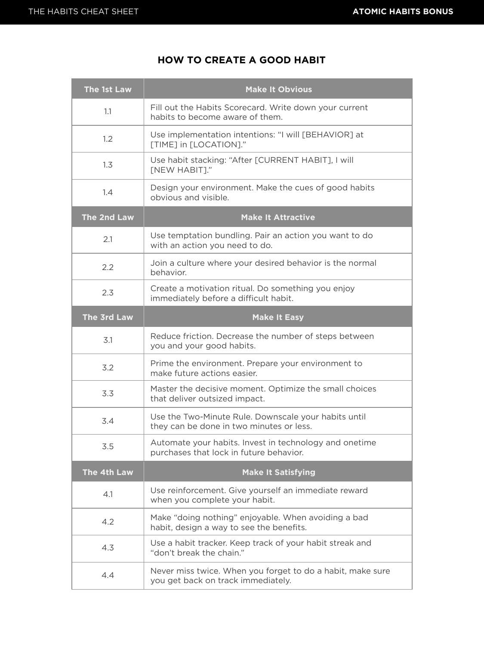## **HOW TO CREATE A GOOD HABIT**

| The 1st Law | <b>Make It Obvious</b>                                                                            |
|-------------|---------------------------------------------------------------------------------------------------|
| 1.1         | Fill out the Habits Scorecard. Write down your current<br>habits to become aware of them.         |
| 1.2         | Use implementation intentions: "I will [BEHAVIOR] at<br>[TIME] in [LOCATION]."                    |
| 1.3         | Use habit stacking: "After [CURRENT HABIT], I will<br><b>[NEW HABIT]."</b>                        |
| 1.4         | Design your environment. Make the cues of good habits<br>obvious and visible.                     |
| The 2nd Law | <b>Make It Attractive</b>                                                                         |
| 2.1         | Use temptation bundling. Pair an action you want to do<br>with an action you need to do.          |
| 2.2         | Join a culture where your desired behavior is the normal<br>behavior.                             |
| 2.3         | Create a motivation ritual. Do something you enjoy<br>immediately before a difficult habit.       |
| The 3rd Law | <b>Make It Easy</b>                                                                               |
| 3.1         | Reduce friction. Decrease the number of steps between<br>you and your good habits.                |
| 3.2         | Prime the environment. Prepare your environment to<br>make future actions easier.                 |
| 3.3         | Master the decisive moment. Optimize the small choices<br>that deliver outsized impact.           |
| 3.4         | Use the Two-Minute Rule. Downscale your habits until<br>they can be done in two minutes or less.  |
| 3.5         | Automate your habits. Invest in technology and onetime<br>purchases that lock in future behavior. |
| The 4th Law | <b>Make It Satisfying</b>                                                                         |
| 4.1         | Use reinforcement. Give yourself an immediate reward<br>when you complete your habit.             |
| 4.2         | Make "doing nothing" enjoyable. When avoiding a bad<br>habit, design a way to see the benefits.   |
| 4.3         | Use a habit tracker. Keep track of your habit streak and<br>"don't break the chain."              |
| 4.4         | Never miss twice. When you forget to do a habit, make sure<br>you get back on track immediately.  |